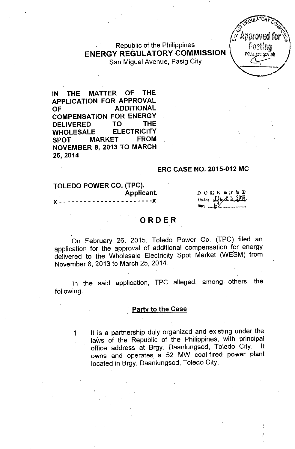Republic of the Philippines ENERGY REGULATORY COMMISSION San Miguel Avenue, Pasig City



IN THE MATTER OF THE APPLICATION FOR APPROVAL OF ADDITIONAL COMPENSATION FOR ENERGY DELIVERED TO THE WHOLESALE ELECTRICITY SPOT MARKET FROM NOVEMBER 8, 2013 TO MARCH 25,2014

#### ERC CASE NO. 2015-012 MC

#### TOLEDO POWER CO. (TPC), Applicant.  $- - - - x$

**DOCKWTED** Date: الله 2 3 2015  $\mathcal{M}$ 

# ORDER

On February 26, 2015, Toledo Power Co. (TPC) filed an application for the approval of additional compensation for energy delivered to the Wholesale Electricity Spot Market (WESM) from November 8, 2013 to March 25, 2014.

In the said application, TPC alleged, among. others, the following:

#### Party to the Case

1. It is a partnership duly organized and existing under the laws of the Republic of the Philippines, with principal office address at Brgy. Daanlungsod, Toledo City. It owns and operates a 52 MW coal-fired power plant located in Brgy. Daanlungsod, Toledo City;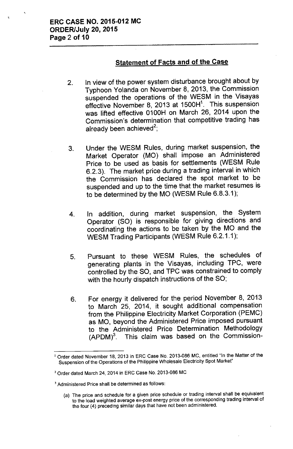## **Statement of Facts and of the Case**

- 2. In view of the power system disturbance brought about by Typhoon Yolanda on November 8,2013, the Commission suspended the operations of the WESM in the Visayas effective November 8, 2013 at 1500H<sup>1</sup>. This suspension was lifted effective 0100H on March 26, 2014 upon the Commission's determination that competitive trading has already been achieved $^{\mathsf{2}}$
- 3. Under the WESM Rules, during market suspension, the Market Operator (MO) shall impose an Administered Price to be used as basis for settlements (WESM Rule 6.2.3). The market price during a trading interval in which the Commission has declared the spot market to be suspended and up to the time that the market resumes is to be determined by the MO (WESM Rule 6.8.3.1);
- 4. In addition, during market suspension, the System Operator (SO) is responsible for giving directions and coordinating the actions to be taken by the MO and the WESM Trading Participants (WESM Rule 6.2.1.1);
- 5. Pursuant to these WESM Rules, the schedules of generating plants in the Visayas, including TPC, were controlled by the SO, and TPC was constrained to comply with the hourly dispatch instructions of the SO;
- 6. For energy it delivered for the period November 8, 2013 to March 25, 2014, it sought additional compensation from the Philippine Electricity Market Corporation (PEMC) as MO, beyond the Administered Price imposed pursuant to the Administered Price Determination Methodology  $(APDM)<sup>3</sup>$ . This claim was based on the Commission-

<sup>&</sup>lt;sup>1</sup> Order dated November 18, 2013 in ERC Case No. 2013-086 MC, entitled "In the Matter of the Suspension of the Operations of the Philippine Wholesale Electricity Spot Market"

<sup>2</sup> Order dated March 24, 2014 in ERC Case No. 2013-086 MC

<sup>3</sup> Administered Price shall be determined as follows:

<sup>(</sup>a) The price and schedule for a given price schedule or trading interval shall be equivalent to the load weighted average ex-post energy price of the corresponding trading interval of the four (4) preceding similar days that have not been administered.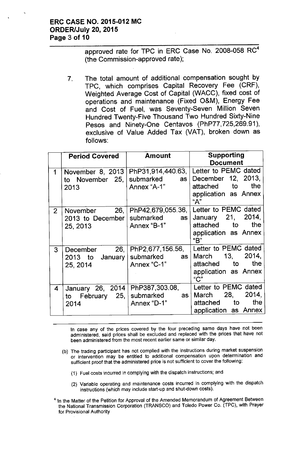## **ERC CASE NO. 2015-012 MC ORDER/July 20,2015 Page 3 of 10**

approved rate for TPC in ERC Case No. 2008-058 RC<sup>4</sup> (the Commission-approved rate);

7. The total amount of additional compensation sought by TPC, which comprises Capital Recovery Fee (CRF), Weighted Average Cost of Capital (WACC), fixed cost of operations and maintenance (Fixed O&M), Energy Fee and Cost of Fuel, was Seventy-Seven Million Seven Hundred Twenty-Five Thousand Two Hundred Sixty-Nine Pesos and Ninety-One Centavos (PhP77,725,269.91), exclusive of Value Added Tax (VAT), broken down as follows:

|                         | <b>Period Covered</b>                       | <b>Amount</b>                                                       | Supporting<br><b>Document</b>                                                                   |
|-------------------------|---------------------------------------------|---------------------------------------------------------------------|-------------------------------------------------------------------------------------------------|
| 1                       | November 8, 2013<br>to November 25,<br>2013 | PhP31,914,440.63,<br>submarked<br>as  <br>Annex "A-1"               | Letter to PEMC dated<br>December 12, 2013,<br>the<br>attached to<br>application as Annex<br>"A" |
| 2 <sup>1</sup>          | November<br>2013 to December<br>25, 2013    | 26,   PhP42,679,055.36,  <br>submarked<br>as  <br>Annex "B-1"       | Letter to PEMC dated<br>January 21, 2014,<br>attached to<br>the<br>application as Annex<br>"B"  |
| 3 <sup>1</sup>          | December 26,<br>2013 to January<br>25, 2014 | PhP2,677,156.56,<br>submarked<br>as  <br>Annex "C-1"                | Letter to PEMC dated<br>2014,<br>March 13,<br>the<br>attached to<br>application as Annex<br>C'' |
| $\overline{\mathbf{4}}$ | to February 25,<br>2014                     | January 26, 2014   PhP387,303.08,<br>submarked<br>as<br>Annex "D-1" | Letter to PEMC dated<br>March 28,<br>2014,<br>the<br>attached to<br>application as Annex        |

In case any of the prices covered by the four preceding same days have not been administered, said prices shall be excluded and replaced with the prices that have not been administered from the most recent earlier same or similar day.

- (b) The trading participant has not complied with the instructions during market suspension or intervention may be entitled to additional compensation upon determination and sufficient proof that the administered price is not sufficient to cover the following:
	- (1) Fuel costs incurred in complying with the dispatch instructions; and
	- (2) Variable operating and maintenance costs incurred in complying with the dispatch instructions (which may include start-up and shut-down costs).
- <sup>4</sup> In the Matter of the Petition for Approval of the Amended Memorandum of Agreement Between the National Transmission Corporation (TRANSCO) and Toledo Power Co. (TPC), with Prayer for Provisional Authority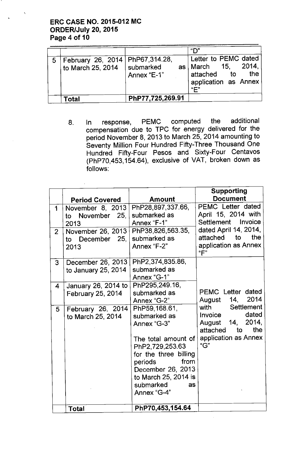## ERC CASE NO. 2015-012 MC ORDER/July 20,2015 Page 4 of 10

| 5   February 26, 2014   PhP67,314.28,<br>to March 25, 2014 | $\mid$ submarked<br>Annex "E-1" | "ר"<br>Letter to PEMC dated<br>as   March 15, 2014,<br>the<br>attached to<br>application as Annex<br>"F" |
|------------------------------------------------------------|---------------------------------|----------------------------------------------------------------------------------------------------------|
| Total                                                      | PhP77,725,269.91                |                                                                                                          |

8. In response, PEMC computed the additional compensation due to TPC for energy delivered for the period November 8,2013 to March 25, 2014 amounting to Seventy Million Four Hundred Fifty-Three Thousand One Hundred Fifty-Four Pesos and Sixty-Four Centavos (PhP70,453,154.64), exclusive of VAT, broken down as follows:

|                     | <b>Period Covered</b>                                                                 | Amount                                                                                | <b>Supporting</b><br><b>Document</b>                                                                                    |
|---------------------|---------------------------------------------------------------------------------------|---------------------------------------------------------------------------------------|-------------------------------------------------------------------------------------------------------------------------|
| 1<br>2 <sup>1</sup> | November 8, 2013<br>to November 25,<br>2013<br>November 26, 2013<br>to December $25,$ | PhP28,897,337.66,<br>submarked as<br>Annex "F-1"<br>PhP38,826,563.35,<br>submarked as | <b>PEMC Letter dated</b><br>April 15, 2014 with<br>Settlement Invoice<br>dated April 14, 2014,<br>attached<br>to<br>the |
| 3                   | 2013<br>December 26, 2013                                                             | Annex "F-2"<br>PhP2,374,835.86,                                                       | application as Annex<br>"F"                                                                                             |
|                     | to January 25, 2014                                                                   | submarked as<br>Annex "G-1"                                                           |                                                                                                                         |
| 4                   | January 26, 2014 to<br><b>February 25, 2014</b>                                       | PhP295,249.16,<br>submarked as<br>Annex "G-2"                                         | PEMC Letter dated<br>August 14, 2014                                                                                    |
| 5                   | February 26, 2014<br>to March 25, 2014                                                | PhP59, 168.61,<br>submarked as<br>Annex "G-3"                                         | with Settlement<br>dated<br>Invoice<br>August 14, 2014,<br>attached to<br>the                                           |
|                     |                                                                                       | The total amount of<br>PhP2,729,253.63<br>for the three billing                       | application as Annex<br>"G"                                                                                             |
|                     |                                                                                       | periods<br>from<br>December 26, 2013<br>to March 25, 2014 is<br>submarked<br>as       |                                                                                                                         |
|                     | Total                                                                                 | Annex "G-4"<br>PhP70,453,154.64                                                       |                                                                                                                         |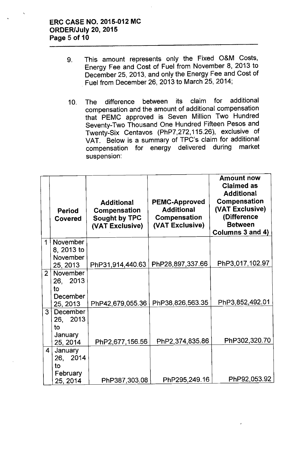- 9. This amount represents only the Fixed O&M Costs, Energy Fee and Cost of Fuel from November 8, 2013 to December 25, 2013, and only the Energy Fee and Cost of . Fuel from December 26,2013 to March 25,2014;
- 10. The difference between its claim for additional compensation and the amount of additional compensation that PEMC approved is Seven Million Two Hundred Seventy-Two Thousand One Hundred Fifteen Pesos and Twenty-Six Centavos (PhP7,272,115.26), exclusive of VAT. Below is a summary of TPC's claim for additional compensation for energy delivered during suspension:

|                         | <b>Period</b><br>Covered   | <b>Additional</b><br>Compensation<br>Sought by TPC<br>(VAT Exclusive) | <b>PEMC-Approved</b><br><b>Additional</b><br>Compensation<br>(VAT Exclusive) | <b>Amount now</b><br><b>Claimed as</b><br><b>Additional</b><br>Compensation<br>(VAT Exclusive)<br>(Difference<br><b>Between</b><br>Columns 3 and 4) |
|-------------------------|----------------------------|-----------------------------------------------------------------------|------------------------------------------------------------------------------|-----------------------------------------------------------------------------------------------------------------------------------------------------|
| $\mathbf 1$             | November<br>8, 2013 to     |                                                                       |                                                                              |                                                                                                                                                     |
|                         | November                   |                                                                       |                                                                              |                                                                                                                                                     |
|                         | 25, 2013                   | PhP31,914,440.63                                                      | PhP28,897,337.66                                                             | PhP3,017,102.97                                                                                                                                     |
| 2 <sup>1</sup>          | November                   |                                                                       |                                                                              |                                                                                                                                                     |
|                         | 26, 2013                   |                                                                       |                                                                              |                                                                                                                                                     |
|                         | to<br>December             |                                                                       |                                                                              |                                                                                                                                                     |
|                         | 25, 2013                   | PhP42,679,055.36                                                      | PhP38,826,563.35                                                             | PhP3,852,492.01                                                                                                                                     |
| 3                       | December                   |                                                                       |                                                                              |                                                                                                                                                     |
|                         | 26, 2013                   |                                                                       |                                                                              |                                                                                                                                                     |
|                         | to                         |                                                                       |                                                                              |                                                                                                                                                     |
|                         | <b>January</b><br>25, 2014 | PhP2,677,156.56                                                       | PhP2,374,835.86                                                              | PhP302,320.70                                                                                                                                       |
| $\overline{\mathbf{4}}$ | <b>January</b>             |                                                                       |                                                                              |                                                                                                                                                     |
|                         | 26, 2014                   |                                                                       |                                                                              |                                                                                                                                                     |
|                         | to                         |                                                                       |                                                                              |                                                                                                                                                     |
|                         | February<br>25, 2014       | PhP387,303.08                                                         | PhP295,249.16                                                                | PhP92,053.92                                                                                                                                        |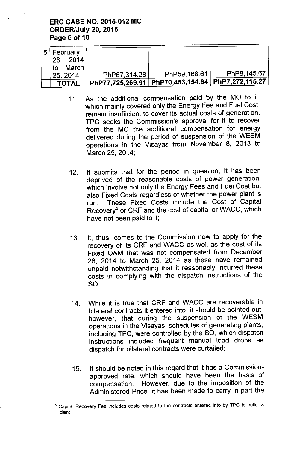## ERC CASE NO. 2015-012 MC ORDER/July 20, 2015 Page 6 of 10

| 5   February |              |                                                       |             |
|--------------|--------------|-------------------------------------------------------|-------------|
| 26 2014      |              |                                                       |             |
| March<br>to  |              |                                                       |             |
| 25, 2014     | PhP67,314.28 | PhP59,168.61                                          | PhP8,145.67 |
| <b>TOTAL</b> |              | PhP77,725,269.91   PhP70,453,154.64   PhP7,272,115.27 |             |

- 11. As the additional compensation paid by the MO to it, which mainly covered only the Energy Fee and Fuel Cost, remain insufficient to cover its actual costs of generation, TPC seeks the Commission's approval for it to recover from the MO the additional compensation for energy delivered during the period of suspension of the WESM operations in the Visayas from November 8, 2013 to March 25, 2014;
- 12. It submits that for the period in question, it has been deprived of the reasonable costs of power generation, which involve not only the Energy Fees and Fuel Cost but also Fixed Costs regardless of whether the power plant is run. These Fixed Costs include the Cost of Capital Recovery<sup>5</sup> or CRF and the cost of capital or WACC, which have not been paid to it;
- 13. It, thus, comes to the Commission now to apply for the recovery of its CRF and WACC as well as the cost of its Fixed O&M that was not compensated from December 26, 2014 to March 25, 2014 as these have remained unpaid notwithstanding that it reasonably incurred these costs in complying with the dispatch instructions of the SO',
- 14. While it is true that CRF and WACC are recoverable in bilateral contracts it entered into, it should be pointed out, however, that during the suspension of the WESM operations in the Visayas, schedules of generating plants, including TPC, were controlled by the SO, which dispatch instructions included frequent manual load drops as dispatch for bilateral contracts were curtailed;
- 15. It should be noted in this regard that it has a Commissionapproved rate, which should have been the basis of compensation. However, due to the imposition of the Administered Price, it has been made to carry in part the

<sup>5</sup> Capital Recovery Fee includes costs related to the contracts entered into by TPC to build its plant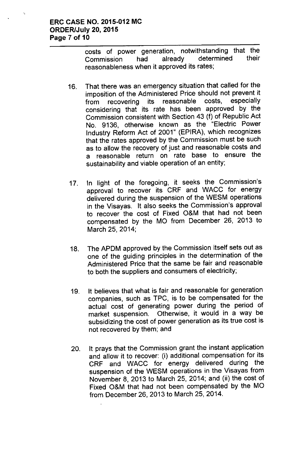costs of power generation, notwithstanding that the Commission had already determined their reasonableness when it approved its rates;

- 16. That there was an emergency situation that called for the imposition of the Administered Price should not prevent it from recovering its reasonable costs, especially considering that its rate has been approved by the Commission consistent with Section 43 (f) of Republic Act No. 9136, otherwise known as the "Electric Power Industry Reform Act of 2001" (EPIRA), which recognizes that the rates approved by the Commission must be such as to allow the recovery of just and reasonable costs and a reasonable return on rate base to ensure the sustainability and viable operation of an entity;
- 17. In light of the foregoing, it seeks the Commission's approval to recover its CRF and WACC for energy delivered during the suspension of the WESM operations in the Visayas. It also seeks the Commission's approval to recover the cost of Fixed O&M that had not been compensated by the MO from December 26, 2013 to March 25, 2014;
- 18. The APDM approved by the Commission itself sets out as one of the guiding principles in the determination of the Administered Price that the same be fair and reasonable to both the suppliers and consumers of electricity;
- 19. It believes that what is fair and reasonable for generation companies, such as TPC, is to be compensated for the actual cost of generating power during the period of market suspension. Otherwise, it would in a way be subsidizing the cost of power generation as its true cost is not recovered by them; and
- 20. It prays that the Commission grant the instant application and allow it to recover: (i) additional compensation for its CRF and WACC for energy delivered during the suspension of the WESM operations in the Visayas from November 8, 2013 to March 25, 2014; and (ii) the cost of Fixed O&M that had not been compensated by the MO from December 26,2013 to March 25, 2014.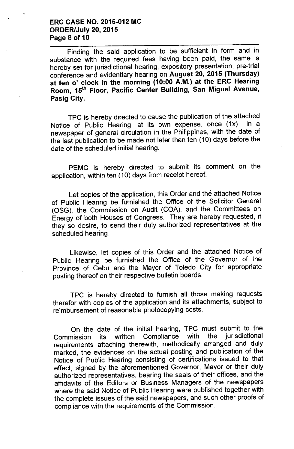### ERC CASE NO. 2015-012 MC ORDER/July 20, 2015 Page 8 of 10

Finding the said application to be sufficient in form and in substance with the required fees having been paid, the same is hereby set for jurisdictional hearing, expository presentation, pre-trial conference and evidentiary hearing on August 20, 2015 (Thursday) at ten 0' clock in the morning (10:00 A.M.) at the ERC Hearing Room, 15<sup>th</sup> Floor, Pacific Center Building, San Miguel Avenue, Pasig City.

TPC is hereby directed to cause the publication of the attached Notice of Public Hearing, at its own expense, once (1x) in a newspaper of general circulation in the Philippines, with the date of the last publication to be made not later than ten (10) days before the date of the scheduled initial hearing.

PEMC is hereby directed to submit its comment on the application, within ten (10) days from receipt hereof.

Let copies of the application, this Order and the attached Notice of Public Hearing be furnished the Office of the Solicitor General (OSG), the Commission on Audit (COA), and the Committees on Energy of both Houses of Congress. They are hereby requested, if they so desire, to send their duly authorized representatives at the scheduled hearing.

Likewise, let copies of this Order and the attached Notice of Public Hearing be furnished the Office of the Governor of the Province of Cebu and the Mayor of Toledo City for appropriate posting thereof on their respective bulletin boards.

TPC is hereby directed to furnish all those making requests therefor with copies of the application and its attachments, subject to reimbursement of reasonable photocopying costs.

On the date of the initial hearing, TPC must submit to the Commission its written Compliance with the jurisdictiona requirements attaching therewith, methodically arranged and duly marked, the evidences on the actual posting and publication of the Notice of Public Hearing consisting of certifications issued to that effect, signed by the aforementioned Governor, Mayor or their duly authorized representatives, bearing the seals of their offices, and the affidavits of the Editors or Business Managers of the newspapers where the said Notice of Public Hearing were published together with the complete issues of the said newspapers, and such other proofs of compliance with the requirements of the Commission.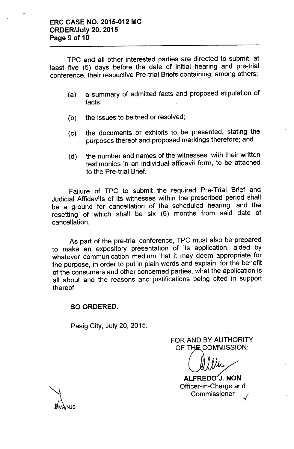TPC and all other interested parties are directed to submit, at least five (5) days before the date of initial hearing and pre-trial conference, their respective Pre-trial Briefs containing, among others:

- (a) a summary of admitted facts and proposed stipulation of facts;
- (b) the issues to be tried or resolved;
- (c) the documents or exhibits to be presented, stating the purposes thereof and proposed markings therefore; and
- (d) the number and names of the witnesses, with their written testimonies in an individual affidavit form, to be attached to the Pre-trial Brief.

Failure of TPC to submit the required Pre-Trial Brief and Judicial Affidavits of its witnesses within the prescribed period shall be a ground for cancellation of the scheduled hearing, and the resetting of which shall be six (6) months from said date of cancellation.

As part of the pre-trial conference, TPC must also be prepared to make an expository presentation of its application, aided by whatever communication medium that it may deem appropriate for the purpose, in order to put in plain words and explain, for the benefit of the consumers and other concerned parties, what the application is all about and the reasons and justifications being cited in support thereof.

#### **SO ORDERED.**

Pasig City, July 20, 2015.

FOR AND BY AUTHORITY OF THE COMMISSION:

ALFREDO´J. NON Officer-in-Charge and **Commissioner** 

**NJS**